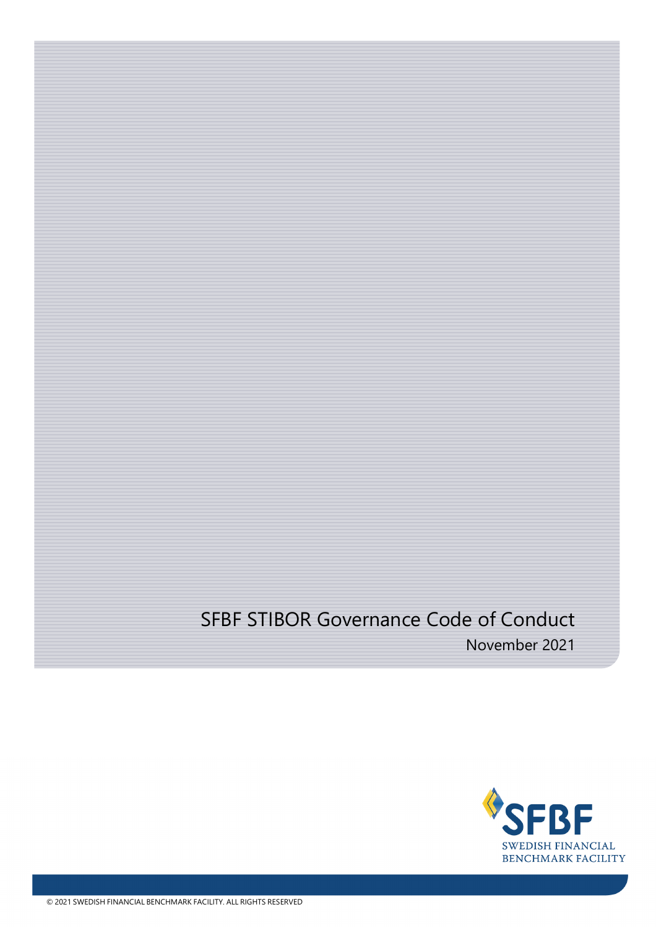# SFBF STIBOR Governance Code of Conduct

November 2021

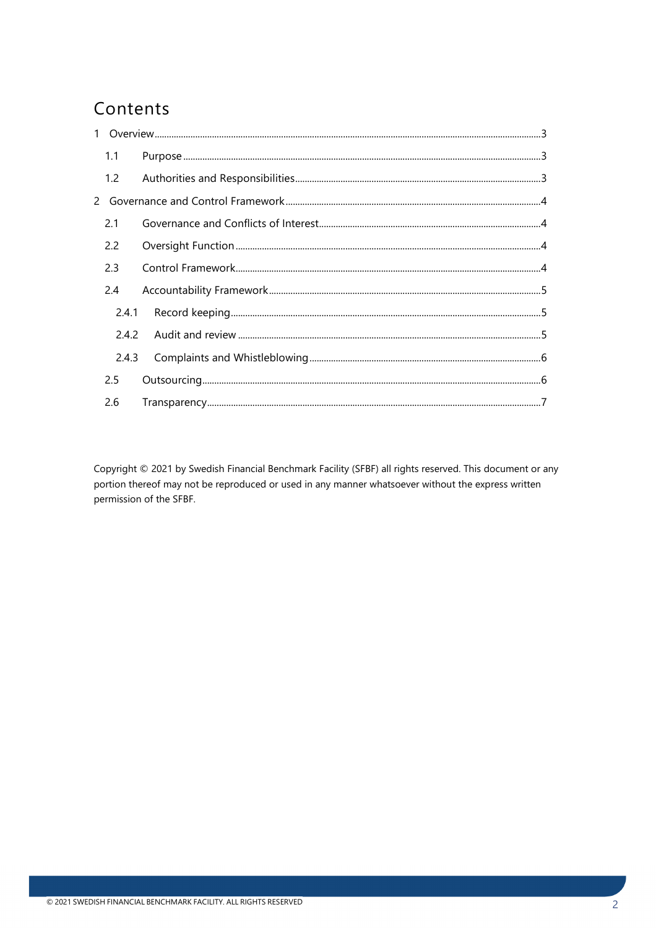# Contents

|  | 1.1   |  |  |
|--|-------|--|--|
|  | 1.2   |  |  |
|  |       |  |  |
|  | 2.1   |  |  |
|  | 2.2   |  |  |
|  | 2.3   |  |  |
|  | 2.4   |  |  |
|  | 2.4.1 |  |  |
|  | 2.4.2 |  |  |
|  | 2.4.3 |  |  |
|  | 2.5   |  |  |
|  | 2.6   |  |  |

Copyright © 2021 by Swedish Financial Benchmark Facility (SFBF) all rights reserved. This document or any portion thereof may not be reproduced or used in any manner whatsoever without the express written permission of the SFBF.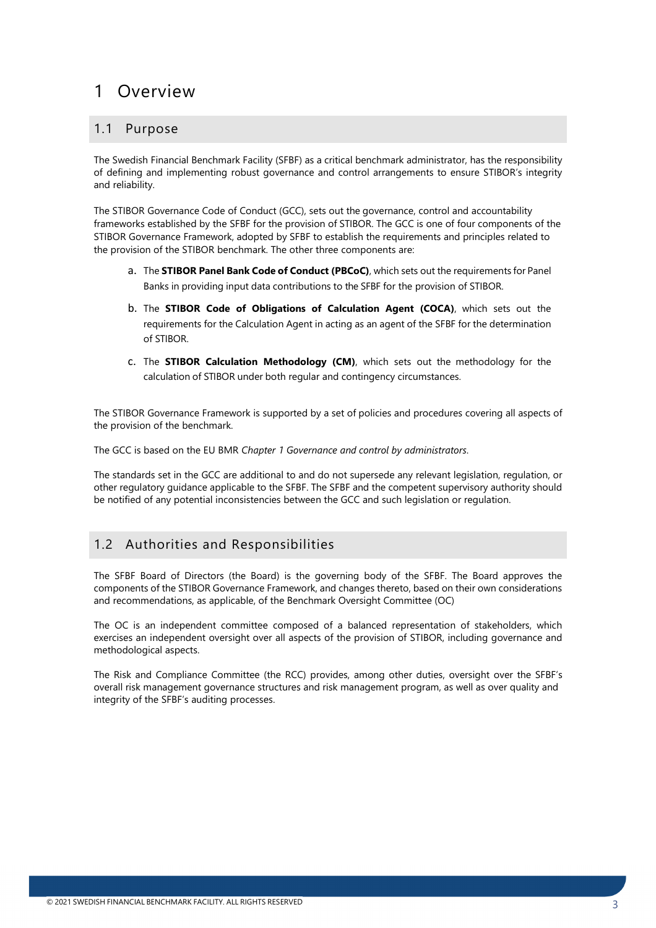# <span id="page-2-0"></span>1 Overview

### <span id="page-2-1"></span>1.1 Purpose

The Swedish Financial Benchmark Facility (SFBF) as a critical benchmark administrator, has the responsibility of defining and implementing robust governance and control arrangements to ensure STIBOR's integrity and reliability.

The STIBOR Governance Code of Conduct (GCC), sets out the governance, control and accountability frameworks established by the SFBF for the provision of STIBOR. The GCC is one of four components of the STIBOR Governance Framework, adopted by SFBF to establish the requirements and principles related to the provision of the STIBOR benchmark. The other three components are:

- a. The **STIBOR Panel Bank Code of Conduct (PBCoC)**, which sets out the requirements for Panel Banks in providing input data contributions to the SFBF for the provision of STIBOR.
- b. The **STIBOR Code of Obligations of Calculation Agent (COCA)**, which sets out the requirements for the Calculation Agent in acting as an agent of the SFBF for the determination of STIBOR.
- c. The **STIBOR Calculation Methodology (CM)**, which sets out the methodology for the calculation of STIBOR under both regular and contingency circumstances.

The STIBOR Governance Framework is supported by a set of policies and procedures covering all aspects of the provision of the benchmark.

The GCC is based on the EU BMR *Chapter 1 Governance and control by administrators*.

The standards set in the GCC are additional to and do not supersede any relevant legislation, regulation, or other regulatory guidance applicable to the SFBF. The SFBF and the competent supervisory authority should be notified of any potential inconsistencies between the GCC and such legislation or regulation.

### <span id="page-2-2"></span>1.2 Authorities and Responsibilities

The SFBF Board of Directors (the Board) is the governing body of the SFBF. The Board approves the components of the STIBOR Governance Framework, and changes thereto, based on their own considerations and recommendations, as applicable, of the Benchmark Oversight Committee (OC)

The OC is an independent committee composed of a balanced representation of stakeholders, which exercises an independent oversight over all aspects of the provision of STIBOR, including governance and methodological aspects.

The Risk and Compliance Committee (the RCC) provides, among other duties, oversight over the SFBF's overall risk management governance structures and risk management program, as well as over quality and integrity of the SFBF's auditing processes.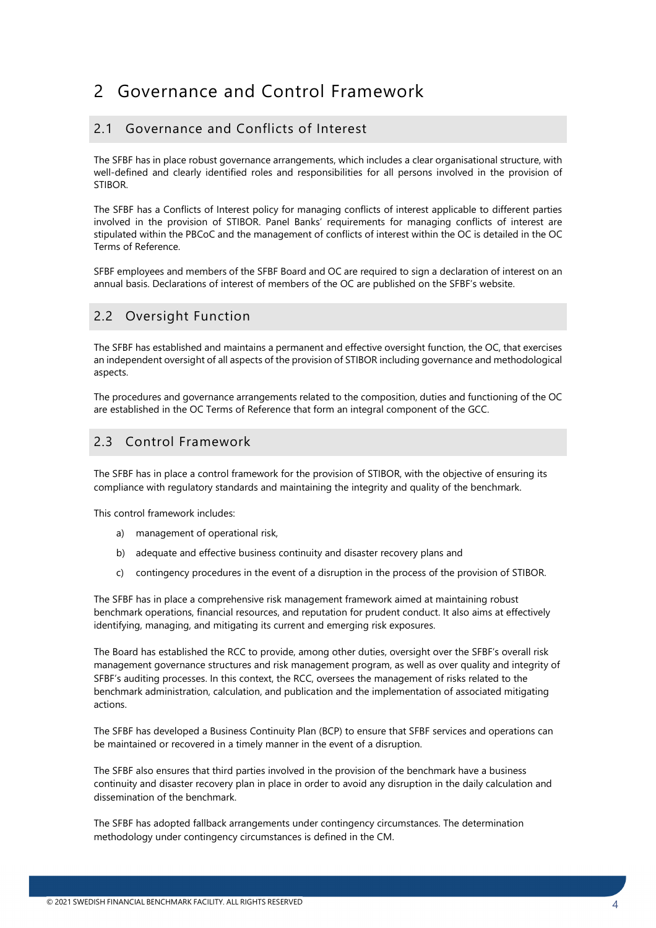# <span id="page-3-0"></span>2 Governance and Control Framework

# <span id="page-3-1"></span>2.1 Governance and Conflicts of Interest

The SFBF has in place robust governance arrangements, which includes a clear organisational structure, with well-defined and clearly identified roles and responsibilities for all persons involved in the provision of STIBOR.

The SFBF has a Conflicts of Interest policy for managing conflicts of interest applicable to different parties involved in the provision of STIBOR. Panel Banks' requirements for managing conflicts of interest are stipulated within the PBCoC and the management of conflicts of interest within the OC is detailed in the OC Terms of Reference.

SFBF employees and members of the SFBF Board and OC are required to sign a declaration of interest on an annual basis. Declarations of interest of members of the OC are published on the SFBF's website.

## <span id="page-3-2"></span>2.2 Oversight Function

The SFBF has established and maintains a permanent and effective oversight function, the OC, that exercises an independent oversight of all aspects of the provision of STIBOR including governance and methodological aspects.

The procedures and governance arrangements related to the composition, duties and functioning of the OC are established in the OC Terms of Reference that form an integral component of the GCC.

#### <span id="page-3-3"></span>2.3 Control Framework

The SFBF has in place a control framework for the provision of STIBOR, with the objective of ensuring its compliance with regulatory standards and maintaining the integrity and quality of the benchmark.

This control framework includes:

- a) management of operational risk,
- b) adequate and effective business continuity and disaster recovery plans and
- c) contingency procedures in the event of a disruption in the process of the provision of STIBOR.

The SFBF has in place a comprehensive risk management framework aimed at maintaining robust benchmark operations, financial resources, and reputation for prudent conduct. It also aims at effectively identifying, managing, and mitigating its current and emerging risk exposures.

The Board has established the RCC to provide, among other duties, oversight over the SFBF's overall risk management governance structures and risk management program, as well as over quality and integrity of SFBF's auditing processes. In this context, the RCC, oversees the management of risks related to the benchmark administration, calculation, and publication and the implementation of associated mitigating actions.

The SFBF has developed a Business Continuity Plan (BCP) to ensure that SFBF services and operations can be maintained or recovered in a timely manner in the event of a disruption.

The SFBF also ensures that third parties involved in the provision of the benchmark have a business continuity and disaster recovery plan in place in order to avoid any disruption in the daily calculation and dissemination of the benchmark.

The SFBF has adopted fallback arrangements under contingency circumstances. The determination methodology under contingency circumstances is defined in the CM.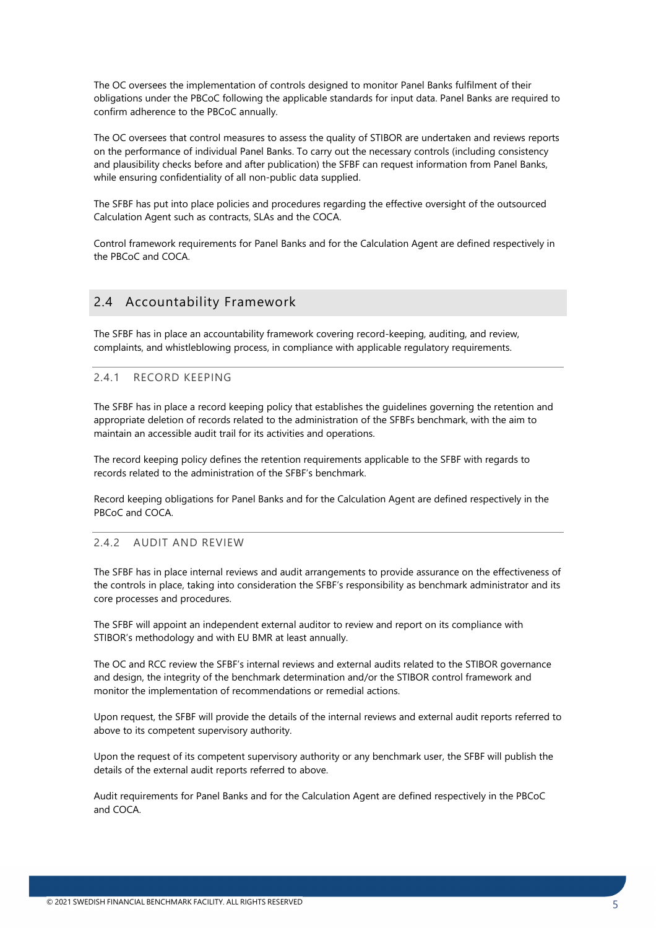The OC oversees the implementation of controls designed to monitor Panel Banks fulfilment of their obligations under the PBCoC following the applicable standards for input data. Panel Banks are required to confirm adherence to the PBCoC annually.

The OC oversees that control measures to assess the quality of STIBOR are undertaken and reviews reports on the performance of individual Panel Banks. To carry out the necessary controls (including consistency and plausibility checks before and after publication) the SFBF can request information from Panel Banks, while ensuring confidentiality of all non-public data supplied.

The SFBF has put into place policies and procedures regarding the effective oversight of the outsourced Calculation Agent such as contracts, SLAs and the COCA.

Control framework requirements for Panel Banks and for the Calculation Agent are defined respectively in the PBCoC and COCA.

## <span id="page-4-0"></span>2.4 Accountability Framework

The SFBF has in place an accountability framework covering record-keeping, auditing, and review, complaints, and whistleblowing process, in compliance with applicable regulatory requirements.

#### <span id="page-4-1"></span>2.4.1 RECORD KEEPING

The SFBF has in place a record keeping policy that establishes the guidelines governing the retention and appropriate deletion of records related to the administration of the SFBFs benchmark, with the aim to maintain an accessible audit trail for its activities and operations.

The record keeping policy defines the retention requirements applicable to the SFBF with regards to records related to the administration of the SFBF's benchmark.

Record keeping obligations for Panel Banks and for the Calculation Agent are defined respectively in the PBCoC and COCA.

#### <span id="page-4-2"></span>2.4.2 AUDIT AND REVIEW

The SFBF has in place internal reviews and audit arrangements to provide assurance on the effectiveness of the controls in place, taking into consideration the SFBF's responsibility as benchmark administrator and its core processes and procedures.

The SFBF will appoint an independent external auditor to review and report on its compliance with STIBOR's methodology and with EU BMR at least annually.

The OC and RCC review the SFBF's internal reviews and external audits related to the STIBOR governance and design, the integrity of the benchmark determination and/or the STIBOR control framework and monitor the implementation of recommendations or remedial actions.

Upon request, the SFBF will provide the details of the internal reviews and external audit reports referred to above to its competent supervisory authority.

Upon the request of its competent supervisory authority or any benchmark user, the SFBF will publish the details of the external audit reports referred to above.

Audit requirements for Panel Banks and for the Calculation Agent are defined respectively in the PBCoC and COCA.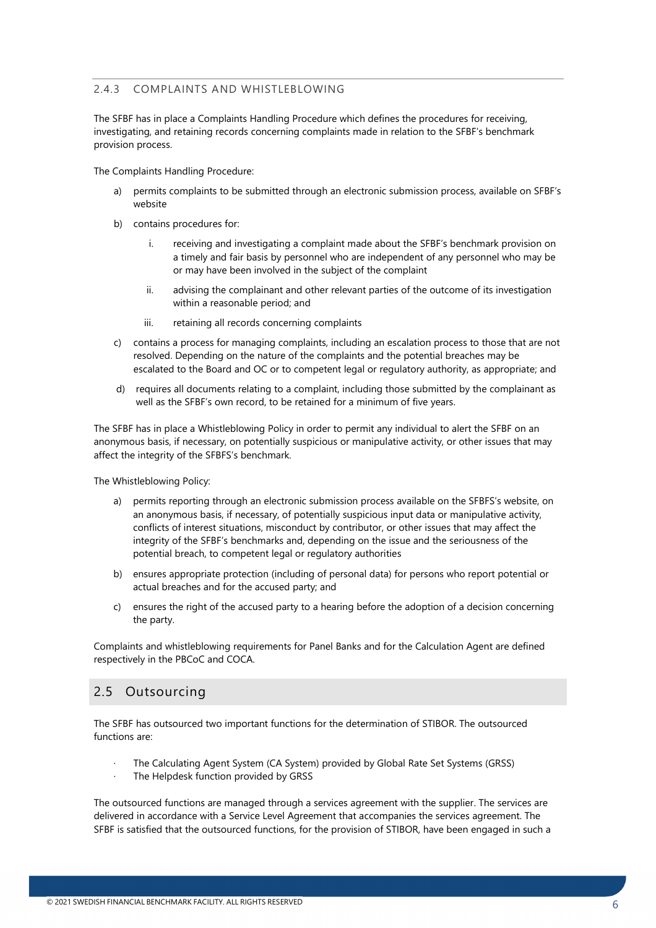#### <span id="page-5-0"></span>2.4.3 COMPLAINTS AND WHISTLEBLOWING

The SFBF has in place a Complaints Handling Procedure which defines the procedures for receiving, investigating, and retaining records concerning complaints made in relation to the SFBF's benchmark provision process.

The Complaints Handling Procedure:

- a) permits complaints to be submitted through an electronic submission process, available on SFBF's website
- b) contains procedures for:
	- i. receiving and investigating a complaint made about the SFBF's benchmark provision on a timely and fair basis by personnel who are independent of any personnel who may be or may have been involved in the subject of the complaint
	- ii. advising the complainant and other relevant parties of the outcome of its investigation within a reasonable period; and
	- iii. retaining all records concerning complaints
- c) contains a process for managing complaints, including an escalation process to those that are not resolved. Depending on the nature of the complaints and the potential breaches may be escalated to the Board and OC or to competent legal or regulatory authority, as appropriate; and
- d) requires all documents relating to a complaint, including those submitted by the complainant as well as the SFBF's own record, to be retained for a minimum of five years.

The SFBF has in place a Whistleblowing Policy in order to permit any individual to alert the SFBF on an anonymous basis, if necessary, on potentially suspicious or manipulative activity, or other issues that may affect the integrity of the SFBFS's benchmark.

The Whistleblowing Policy:

- a) permits reporting through an electronic submission process available on the SFBFS's website, on an anonymous basis, if necessary, of potentially suspicious input data or manipulative activity, conflicts of interest situations, misconduct by contributor, or other issues that may affect the integrity of the SFBF's benchmarks and, depending on the issue and the seriousness of the potential breach, to competent legal or regulatory authorities
- b) ensures appropriate protection (including of personal data) for persons who report potential or actual breaches and for the accused party; and
- c) ensures the right of the accused party to a hearing before the adoption of a decision concerning the party.

Complaints and whistleblowing requirements for Panel Banks and for the Calculation Agent are defined respectively in the PBCoC and COCA.

#### <span id="page-5-1"></span>2.5 Outsourcing

The SFBF has outsourced two important functions for the determination of STIBOR. The outsourced functions are:

- The Calculating Agent System (CA System) provided by Global Rate Set Systems (GRSS)
- The Helpdesk function provided by GRSS

The outsourced functions are managed through a services agreement with the supplier. The services are delivered in accordance with a Service Level Agreement that accompanies the services agreement. The SFBF is satisfied that the outsourced functions, for the provision of STIBOR, have been engaged in such a